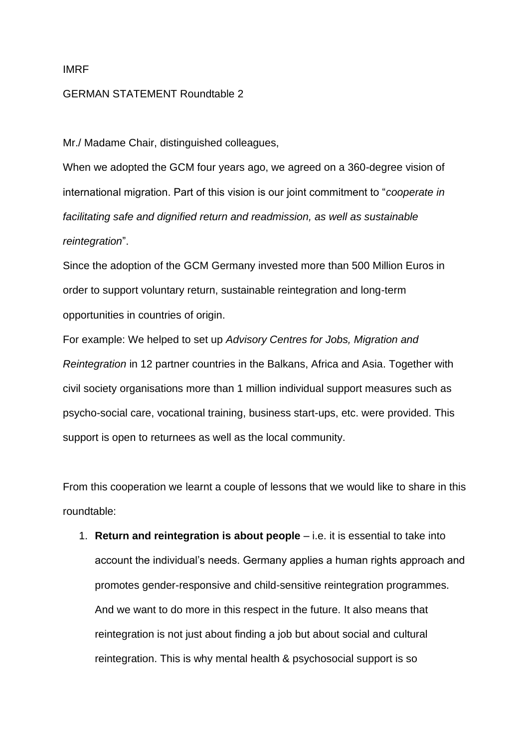## IMRF

## GERMAN STATEMENT Roundtable 2

Mr./ Madame Chair, distinguished colleagues,

When we adopted the GCM four years ago, we agreed on a 360-degree vision of international migration. Part of this vision is our joint commitment to "*cooperate in facilitating safe and dignified return and readmission, as well as sustainable reintegration*".

Since the adoption of the GCM Germany invested more than 500 Million Euros in order to support voluntary return, sustainable reintegration and long-term opportunities in countries of origin.

For example: We helped to set up *Advisory Centres for Jobs, Migration and Reintegration* in 12 partner countries in the Balkans, Africa and Asia. Together with civil society organisations more than 1 million individual support measures such as psycho-social care, vocational training, business start-ups, etc. were provided. This support is open to returnees as well as the local community.

From this cooperation we learnt a couple of lessons that we would like to share in this roundtable:

1. **Return and reintegration is about people** – i.e. it is essential to take into account the individual's needs. Germany applies a human rights approach and promotes gender-responsive and child-sensitive reintegration programmes. And we want to do more in this respect in the future. It also means that reintegration is not just about finding a job but about social and cultural reintegration. This is why mental health & psychosocial support is so